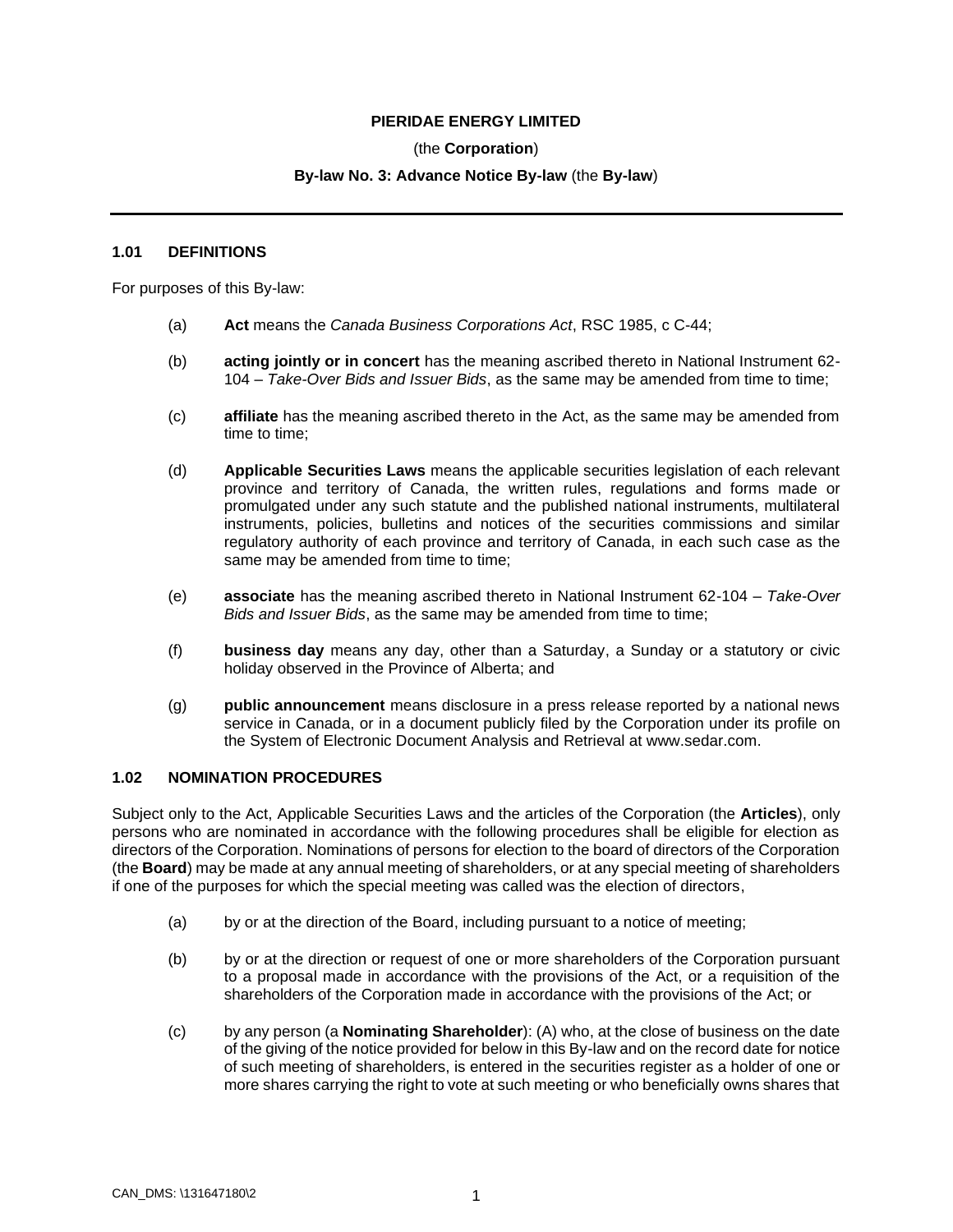## **PIERIDAE ENERGY LIMITED**

## (the **Corporation**)

## **By-law No. 3: Advance Notice By-law** (the **By-law**)

#### **1.01 DEFINITIONS**

For purposes of this By-law:

- (a) **Act** means the *Canada Business Corporations Act*, RSC 1985, c C-44;
- (b) **acting jointly or in concert** has the meaning ascribed thereto in National Instrument 62- 104 – *Take-Over Bids and Issuer Bids*, as the same may be amended from time to time;
- (c) **affiliate** has the meaning ascribed thereto in the Act, as the same may be amended from time to time;
- (d) **Applicable Securities Laws** means the applicable securities legislation of each relevant province and territory of Canada, the written rules, regulations and forms made or promulgated under any such statute and the published national instruments, multilateral instruments, policies, bulletins and notices of the securities commissions and similar regulatory authority of each province and territory of Canada, in each such case as the same may be amended from time to time;
- (e) **associate** has the meaning ascribed thereto in National Instrument 62-104 *Take-Over Bids and Issuer Bids*, as the same may be amended from time to time;
- (f) **business day** means any day, other than a Saturday, a Sunday or a statutory or civic holiday observed in the Province of Alberta; and
- (g) **public announcement** means disclosure in a press release reported by a national news service in Canada, or in a document publicly filed by the Corporation under its profile on the System of Electronic Document Analysis and Retrieval at www.sedar.com.

#### **1.02 NOMINATION PROCEDURES**

Subject only to the Act, Applicable Securities Laws and the articles of the Corporation (the **Articles**), only persons who are nominated in accordance with the following procedures shall be eligible for election as directors of the Corporation. Nominations of persons for election to the board of directors of the Corporation (the **Board**) may be made at any annual meeting of shareholders, or at any special meeting of shareholders if one of the purposes for which the special meeting was called was the election of directors,

- (a) by or at the direction of the Board, including pursuant to a notice of meeting;
- (b) by or at the direction or request of one or more shareholders of the Corporation pursuant to a proposal made in accordance with the provisions of the Act, or a requisition of the shareholders of the Corporation made in accordance with the provisions of the Act; or
- (c) by any person (a **Nominating Shareholder**): (A) who, at the close of business on the date of the giving of the notice provided for below in this By-law and on the record date for notice of such meeting of shareholders, is entered in the securities register as a holder of one or more shares carrying the right to vote at such meeting or who beneficially owns shares that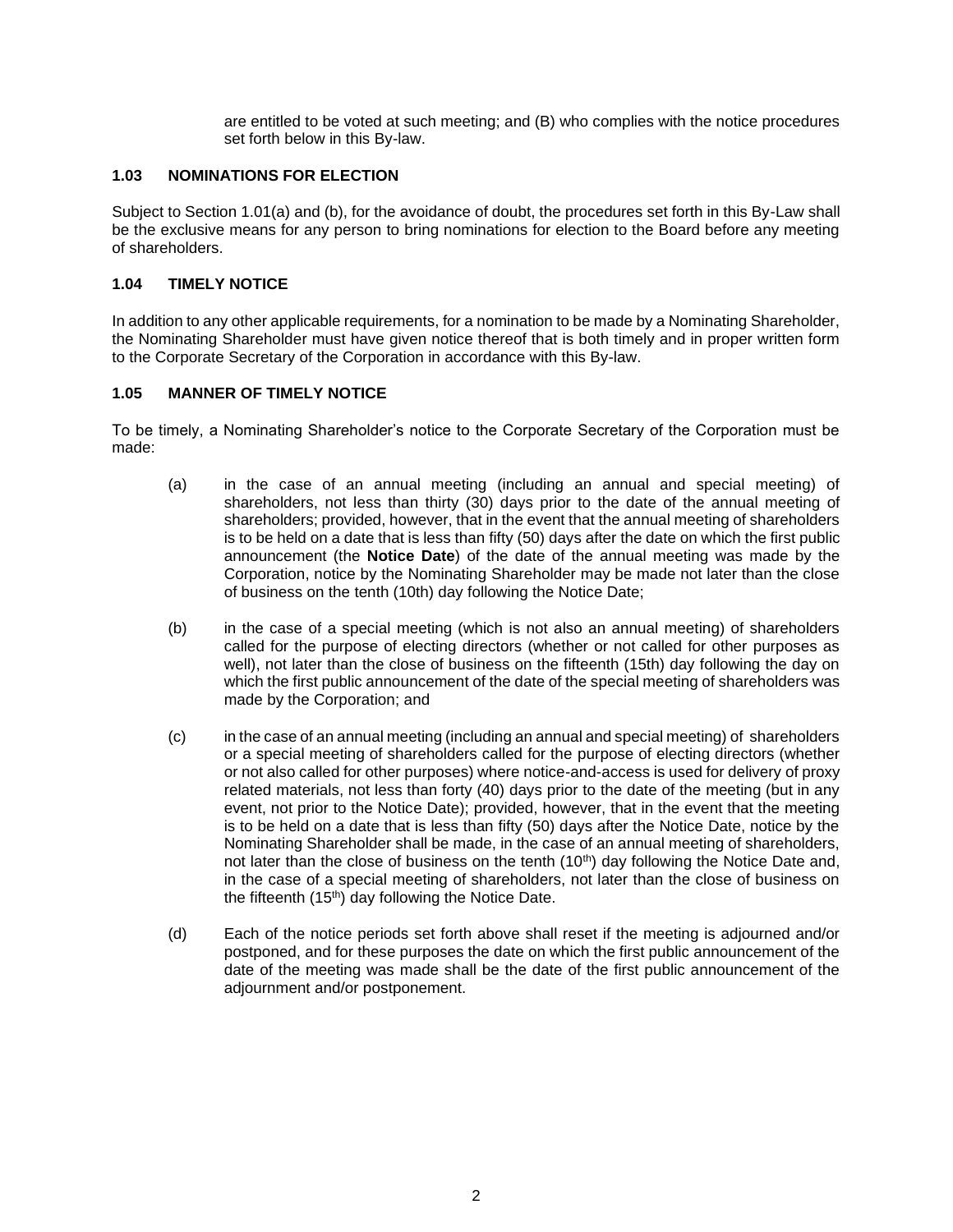are entitled to be voted at such meeting; and (B) who complies with the notice procedures set forth below in this By-law.

# **1.03 NOMINATIONS FOR ELECTION**

Subject to Section 1.01(a) and (b), for the avoidance of doubt, the procedures set forth in this By-Law shall be the exclusive means for any person to bring nominations for election to the Board before any meeting of shareholders.

### **1.04 TIMELY NOTICE**

In addition to any other applicable requirements, for a nomination to be made by a Nominating Shareholder, the Nominating Shareholder must have given notice thereof that is both timely and in proper written form to the Corporate Secretary of the Corporation in accordance with this By-law.

# **1.05 MANNER OF TIMELY NOTICE**

To be timely, a Nominating Shareholder's notice to the Corporate Secretary of the Corporation must be made:

- (a) in the case of an annual meeting (including an annual and special meeting) of shareholders, not less than thirty (30) days prior to the date of the annual meeting of shareholders; provided, however, that in the event that the annual meeting of shareholders is to be held on a date that is less than fifty (50) days after the date on which the first public announcement (the **Notice Date**) of the date of the annual meeting was made by the Corporation, notice by the Nominating Shareholder may be made not later than the close of business on the tenth (10th) day following the Notice Date;
- (b) in the case of a special meeting (which is not also an annual meeting) of shareholders called for the purpose of electing directors (whether or not called for other purposes as well), not later than the close of business on the fifteenth (15th) day following the day on which the first public announcement of the date of the special meeting of shareholders was made by the Corporation; and
- (c) in the case of an annual meeting (including an annual and special meeting) of shareholders or a special meeting of shareholders called for the purpose of electing directors (whether or not also called for other purposes) where notice-and-access is used for delivery of proxy related materials, not less than forty (40) days prior to the date of the meeting (but in any event, not prior to the Notice Date); provided, however, that in the event that the meeting is to be held on a date that is less than fifty (50) days after the Notice Date, notice by the Nominating Shareholder shall be made, in the case of an annual meeting of shareholders, not later than the close of business on the tenth (10<sup>th</sup>) day following the Notice Date and, in the case of a special meeting of shareholders, not later than the close of business on the fifteenth (15<sup>th</sup>) day following the Notice Date.
- (d) Each of the notice periods set forth above shall reset if the meeting is adjourned and/or postponed, and for these purposes the date on which the first public announcement of the date of the meeting was made shall be the date of the first public announcement of the adjournment and/or postponement.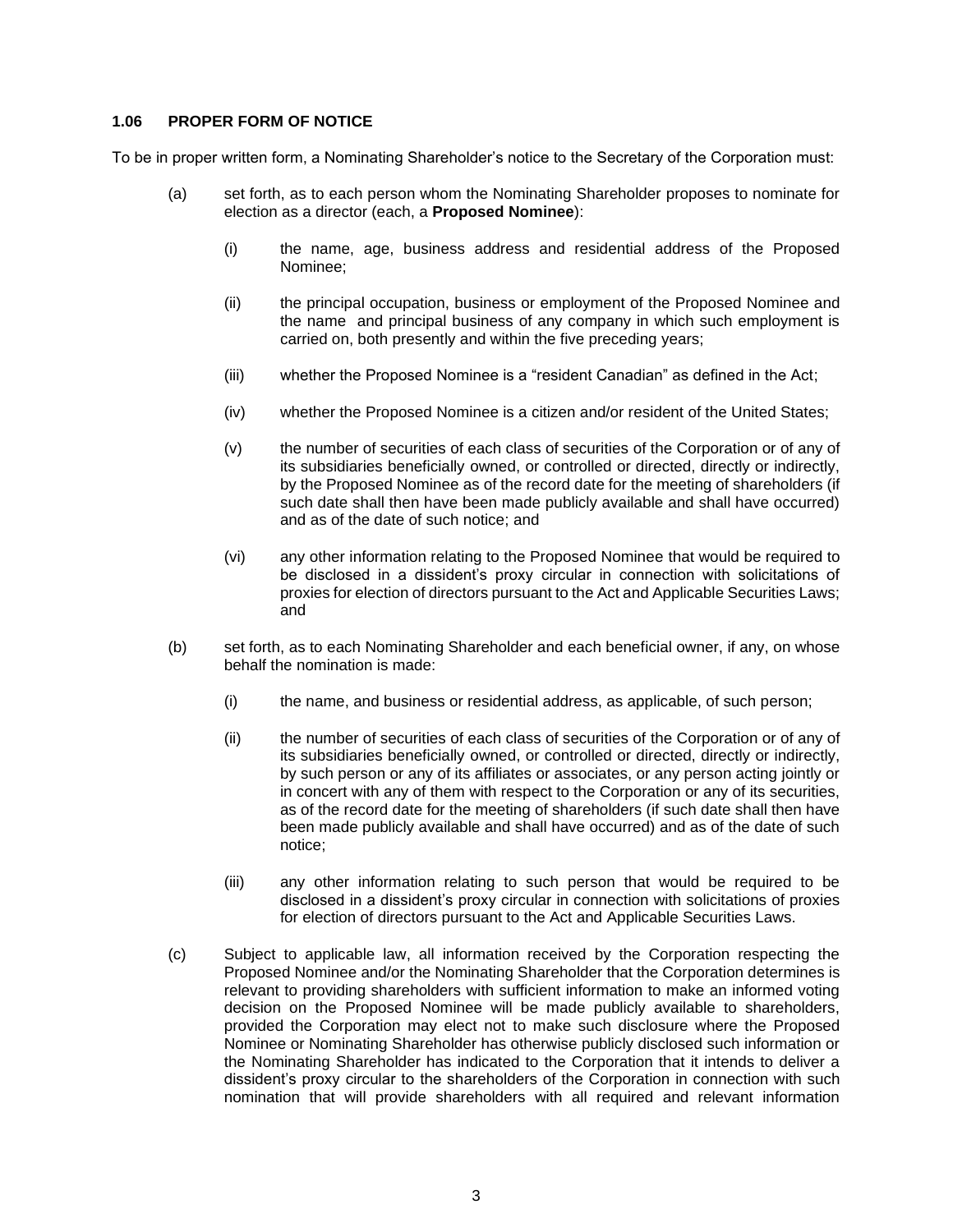### **1.06 PROPER FORM OF NOTICE**

To be in proper written form, a Nominating Shareholder's notice to the Secretary of the Corporation must:

- (a) set forth, as to each person whom the Nominating Shareholder proposes to nominate for election as a director (each, a **Proposed Nominee**):
	- (i) the name, age, business address and residential address of the Proposed Nominee;
	- (ii) the principal occupation, business or employment of the Proposed Nominee and the name and principal business of any company in which such employment is carried on, both presently and within the five preceding years;
	- (iii) whether the Proposed Nominee is a "resident Canadian" as defined in the Act;
	- (iv) whether the Proposed Nominee is a citizen and/or resident of the United States;
	- (v) the number of securities of each class of securities of the Corporation or of any of its subsidiaries beneficially owned, or controlled or directed, directly or indirectly, by the Proposed Nominee as of the record date for the meeting of shareholders (if such date shall then have been made publicly available and shall have occurred) and as of the date of such notice; and
	- (vi) any other information relating to the Proposed Nominee that would be required to be disclosed in a dissident's proxy circular in connection with solicitations of proxies for election of directors pursuant to the Act and Applicable Securities Laws; and
- (b) set forth, as to each Nominating Shareholder and each beneficial owner, if any, on whose behalf the nomination is made:
	- (i) the name, and business or residential address, as applicable, of such person;
	- (ii) the number of securities of each class of securities of the Corporation or of any of its subsidiaries beneficially owned, or controlled or directed, directly or indirectly, by such person or any of its affiliates or associates, or any person acting jointly or in concert with any of them with respect to the Corporation or any of its securities, as of the record date for the meeting of shareholders (if such date shall then have been made publicly available and shall have occurred) and as of the date of such notice;
	- (iii) any other information relating to such person that would be required to be disclosed in a dissident's proxy circular in connection with solicitations of proxies for election of directors pursuant to the Act and Applicable Securities Laws.
- (c) Subject to applicable law, all information received by the Corporation respecting the Proposed Nominee and/or the Nominating Shareholder that the Corporation determines is relevant to providing shareholders with sufficient information to make an informed voting decision on the Proposed Nominee will be made publicly available to shareholders, provided the Corporation may elect not to make such disclosure where the Proposed Nominee or Nominating Shareholder has otherwise publicly disclosed such information or the Nominating Shareholder has indicated to the Corporation that it intends to deliver a dissident's proxy circular to the shareholders of the Corporation in connection with such nomination that will provide shareholders with all required and relevant information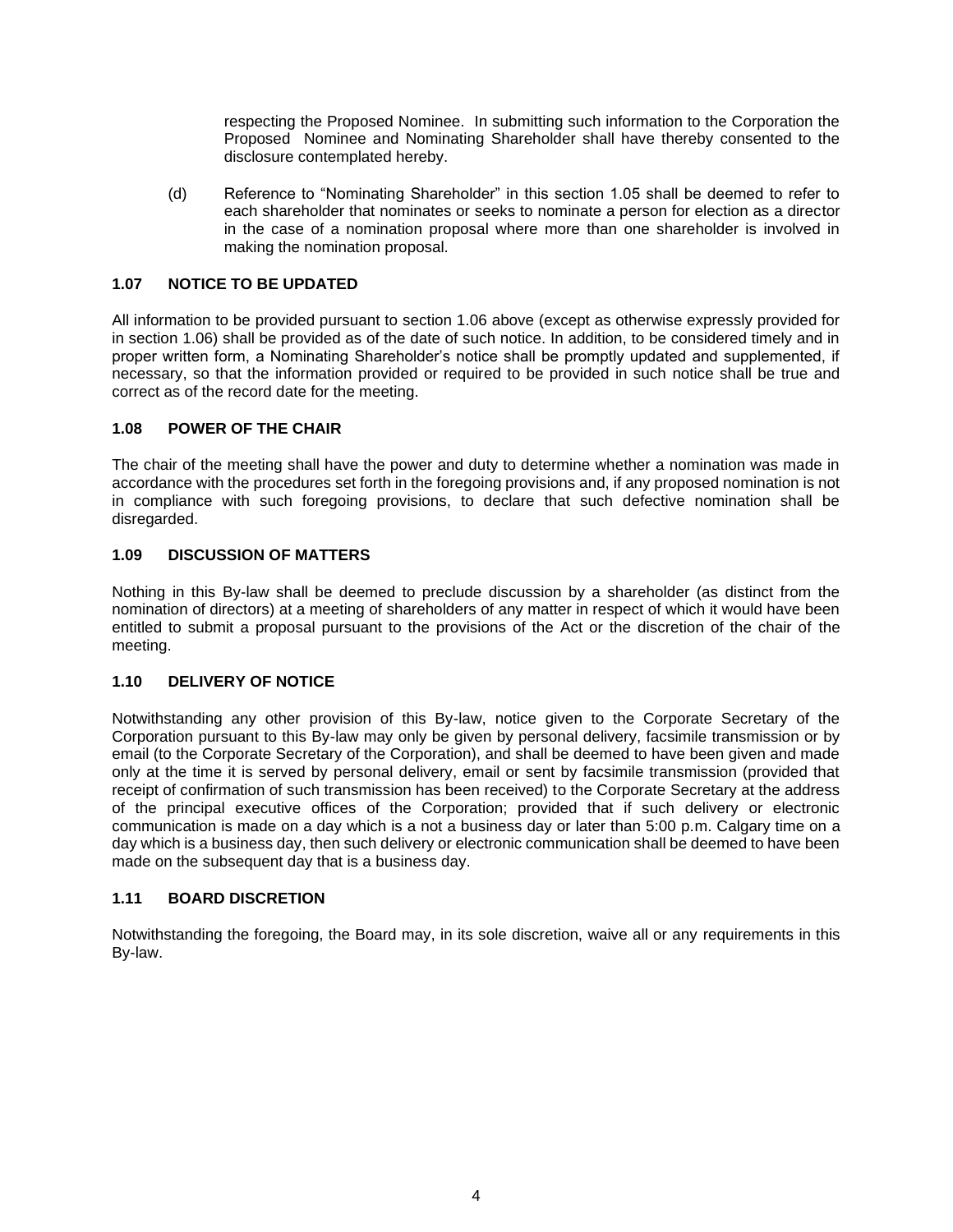respecting the Proposed Nominee. In submitting such information to the Corporation the Proposed Nominee and Nominating Shareholder shall have thereby consented to the disclosure contemplated hereby.

(d) Reference to "Nominating Shareholder" in this section 1.05 shall be deemed to refer to each shareholder that nominates or seeks to nominate a person for election as a director in the case of a nomination proposal where more than one shareholder is involved in making the nomination proposal.

# **1.07 NOTICE TO BE UPDATED**

All information to be provided pursuant to section 1.06 above (except as otherwise expressly provided for in section 1.06) shall be provided as of the date of such notice. In addition, to be considered timely and in proper written form, a Nominating Shareholder's notice shall be promptly updated and supplemented, if necessary, so that the information provided or required to be provided in such notice shall be true and correct as of the record date for the meeting.

# **1.08 POWER OF THE CHAIR**

The chair of the meeting shall have the power and duty to determine whether a nomination was made in accordance with the procedures set forth in the foregoing provisions and, if any proposed nomination is not in compliance with such foregoing provisions, to declare that such defective nomination shall be disregarded.

# **1.09 DISCUSSION OF MATTERS**

Nothing in this By-law shall be deemed to preclude discussion by a shareholder (as distinct from the nomination of directors) at a meeting of shareholders of any matter in respect of which it would have been entitled to submit a proposal pursuant to the provisions of the Act or the discretion of the chair of the meeting.

#### **1.10 DELIVERY OF NOTICE**

Notwithstanding any other provision of this By-law, notice given to the Corporate Secretary of the Corporation pursuant to this By-law may only be given by personal delivery, facsimile transmission or by email (to the Corporate Secretary of the Corporation), and shall be deemed to have been given and made only at the time it is served by personal delivery, email or sent by facsimile transmission (provided that receipt of confirmation of such transmission has been received) to the Corporate Secretary at the address of the principal executive offices of the Corporation; provided that if such delivery or electronic communication is made on a day which is a not a business day or later than 5:00 p.m. Calgary time on a day which is a business day, then such delivery or electronic communication shall be deemed to have been made on the subsequent day that is a business day.

#### **1.11 BOARD DISCRETION**

Notwithstanding the foregoing, the Board may, in its sole discretion, waive all or any requirements in this By-law.